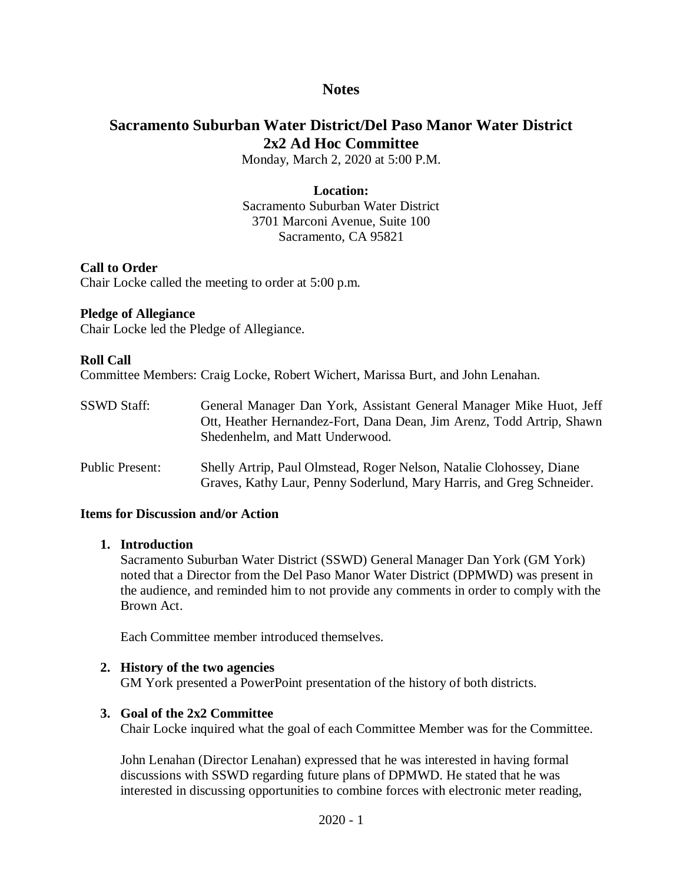# **Notes**

# **Sacramento Suburban Water District/Del Paso Manor Water District 2x2 Ad Hoc Committee**

Monday, March 2, 2020 at 5:00 P.M.

#### **Location:**

Sacramento Suburban Water District 3701 Marconi Avenue, Suite 100 Sacramento, CA 95821

## **Call to Order**

Chair Locke called the meeting to order at 5:00 p.m.

#### **Pledge of Allegiance**

Chair Locke led the Pledge of Allegiance.

#### **Roll Call**

Committee Members: Craig Locke, Robert Wichert, Marissa Burt, and John Lenahan.

| <b>SSWD Staff:</b> | General Manager Dan York, Assistant General Manager Mike Huot, Jeff   |
|--------------------|-----------------------------------------------------------------------|
|                    | Ott, Heather Hernandez-Fort, Dana Dean, Jim Arenz, Todd Artrip, Shawn |
|                    | Shedenhelm, and Matt Underwood.                                       |

Public Present: Shelly Artrip, Paul Olmstead, Roger Nelson, Natalie Clohossey, Diane Graves, Kathy Laur, Penny Soderlund, Mary Harris, and Greg Schneider.

#### **Items for Discussion and/or Action**

#### **1. Introduction**

Sacramento Suburban Water District (SSWD) General Manager Dan York (GM York) noted that a Director from the Del Paso Manor Water District (DPMWD) was present in the audience, and reminded him to not provide any comments in order to comply with the Brown Act.

Each Committee member introduced themselves.

#### **2. History of the two agencies**

GM York presented a PowerPoint presentation of the history of both districts.

#### **3. Goal of the 2x2 Committee**

Chair Locke inquired what the goal of each Committee Member was for the Committee.

John Lenahan (Director Lenahan) expressed that he was interested in having formal discussions with SSWD regarding future plans of DPMWD. He stated that he was interested in discussing opportunities to combine forces with electronic meter reading,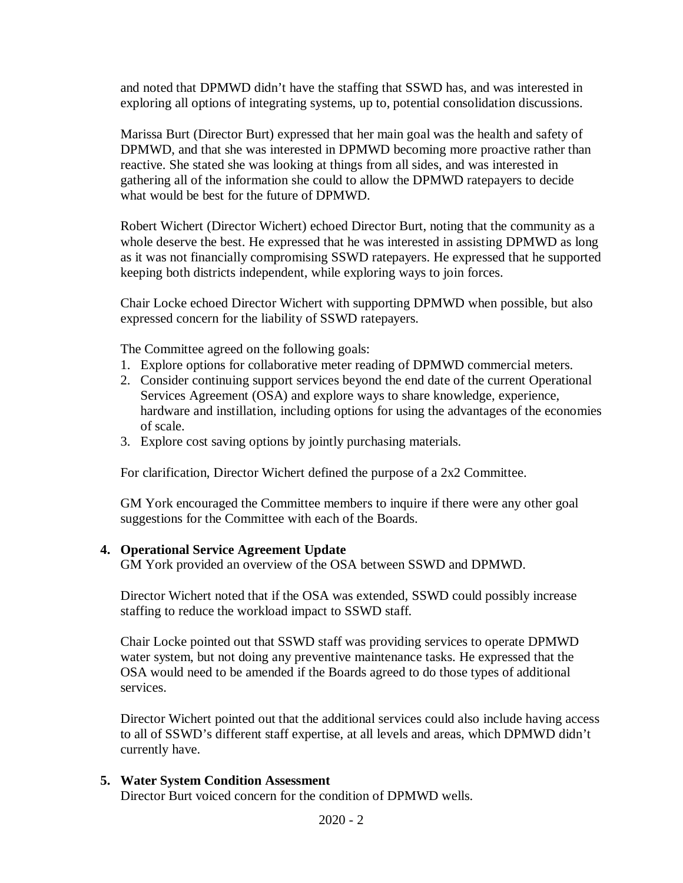and noted that DPMWD didn't have the staffing that SSWD has, and was interested in exploring all options of integrating systems, up to, potential consolidation discussions.

Marissa Burt (Director Burt) expressed that her main goal was the health and safety of DPMWD, and that she was interested in DPMWD becoming more proactive rather than reactive. She stated she was looking at things from all sides, and was interested in gathering all of the information she could to allow the DPMWD ratepayers to decide what would be best for the future of DPMWD.

Robert Wichert (Director Wichert) echoed Director Burt, noting that the community as a whole deserve the best. He expressed that he was interested in assisting DPMWD as long as it was not financially compromising SSWD ratepayers. He expressed that he supported keeping both districts independent, while exploring ways to join forces.

Chair Locke echoed Director Wichert with supporting DPMWD when possible, but also expressed concern for the liability of SSWD ratepayers.

The Committee agreed on the following goals:

- 1. Explore options for collaborative meter reading of DPMWD commercial meters.
- 2. Consider continuing support services beyond the end date of the current Operational Services Agreement (OSA) and explore ways to share knowledge, experience, hardware and instillation, including options for using the advantages of the economies of scale.
- 3. Explore cost saving options by jointly purchasing materials.

For clarification, Director Wichert defined the purpose of a 2x2 Committee.

GM York encouraged the Committee members to inquire if there were any other goal suggestions for the Committee with each of the Boards.

#### **4. Operational Service Agreement Update**

GM York provided an overview of the OSA between SSWD and DPMWD.

Director Wichert noted that if the OSA was extended, SSWD could possibly increase staffing to reduce the workload impact to SSWD staff.

Chair Locke pointed out that SSWD staff was providing services to operate DPMWD water system, but not doing any preventive maintenance tasks. He expressed that the OSA would need to be amended if the Boards agreed to do those types of additional services.

Director Wichert pointed out that the additional services could also include having access to all of SSWD's different staff expertise, at all levels and areas, which DPMWD didn't currently have.

#### **5. Water System Condition Assessment**

Director Burt voiced concern for the condition of DPMWD wells.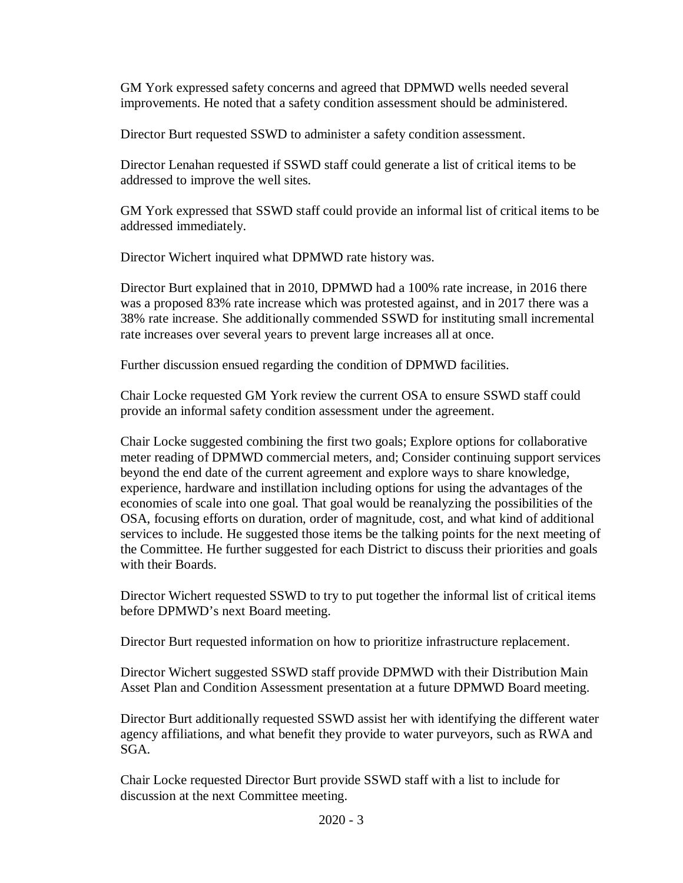GM York expressed safety concerns and agreed that DPMWD wells needed several improvements. He noted that a safety condition assessment should be administered.

Director Burt requested SSWD to administer a safety condition assessment.

Director Lenahan requested if SSWD staff could generate a list of critical items to be addressed to improve the well sites.

GM York expressed that SSWD staff could provide an informal list of critical items to be addressed immediately.

Director Wichert inquired what DPMWD rate history was.

Director Burt explained that in 2010, DPMWD had a 100% rate increase, in 2016 there was a proposed 83% rate increase which was protested against, and in 2017 there was a 38% rate increase. She additionally commended SSWD for instituting small incremental rate increases over several years to prevent large increases all at once.

Further discussion ensued regarding the condition of DPMWD facilities.

Chair Locke requested GM York review the current OSA to ensure SSWD staff could provide an informal safety condition assessment under the agreement.

Chair Locke suggested combining the first two goals; Explore options for collaborative meter reading of DPMWD commercial meters, and; Consider continuing support services beyond the end date of the current agreement and explore ways to share knowledge, experience, hardware and instillation including options for using the advantages of the economies of scale into one goal. That goal would be reanalyzing the possibilities of the OSA, focusing efforts on duration, order of magnitude, cost, and what kind of additional services to include. He suggested those items be the talking points for the next meeting of the Committee. He further suggested for each District to discuss their priorities and goals with their Boards.

Director Wichert requested SSWD to try to put together the informal list of critical items before DPMWD's next Board meeting.

Director Burt requested information on how to prioritize infrastructure replacement.

Director Wichert suggested SSWD staff provide DPMWD with their Distribution Main Asset Plan and Condition Assessment presentation at a future DPMWD Board meeting.

Director Burt additionally requested SSWD assist her with identifying the different water agency affiliations, and what benefit they provide to water purveyors, such as RWA and SGA.

Chair Locke requested Director Burt provide SSWD staff with a list to include for discussion at the next Committee meeting.